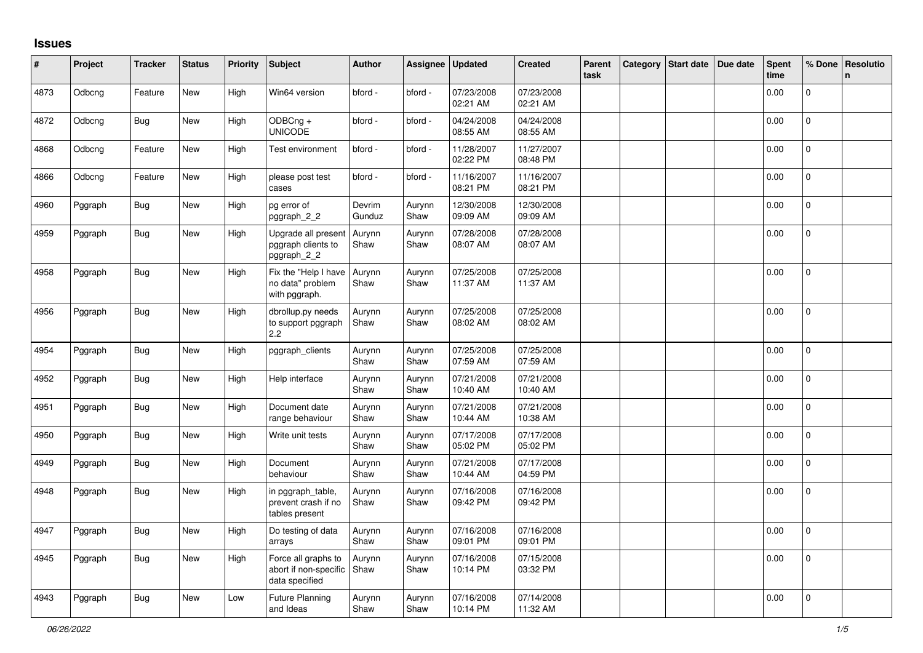## **Issues**

| #    | Project | <b>Tracker</b> | <b>Status</b> | <b>Priority</b> | <b>Subject</b>                                                 | <b>Author</b>    | Assignee       | <b>Updated</b>         | <b>Created</b>         | Parent<br>task | Category | Start date Due date | <b>Spent</b><br>time | % Done         | Resolutio<br>n. |
|------|---------|----------------|---------------|-----------------|----------------------------------------------------------------|------------------|----------------|------------------------|------------------------|----------------|----------|---------------------|----------------------|----------------|-----------------|
| 4873 | Odbcng  | Feature        | New           | High            | Win64 version                                                  | bford -          | bford -        | 07/23/2008<br>02:21 AM | 07/23/2008<br>02:21 AM |                |          |                     | 0.00                 | $\mathbf 0$    |                 |
| 4872 | Odbcng  | Bug            | New           | High            | ODBCng +<br><b>UNICODE</b>                                     | bford -          | bford -        | 04/24/2008<br>08:55 AM | 04/24/2008<br>08:55 AM |                |          |                     | 0.00                 | $\mathbf 0$    |                 |
| 4868 | Odbcng  | Feature        | New           | High            | Test environment                                               | bford -          | bford -        | 11/28/2007<br>02:22 PM | 11/27/2007<br>08:48 PM |                |          |                     | 0.00                 | $\pmb{0}$      |                 |
| 4866 | Odbcng  | Feature        | New           | High            | please post test<br>cases                                      | bford -          | bford -        | 11/16/2007<br>08:21 PM | 11/16/2007<br>08:21 PM |                |          |                     | 0.00                 | $\mathbf{0}$   |                 |
| 4960 | Pggraph | <b>Bug</b>     | New           | High            | pg error of<br>pggraph_2_2                                     | Devrim<br>Gunduz | Aurynn<br>Shaw | 12/30/2008<br>09:09 AM | 12/30/2008<br>09:09 AM |                |          |                     | 0.00                 | $\Omega$       |                 |
| 4959 | Pggraph | Bug            | New           | High            | Upgrade all present<br>pggraph clients to<br>pggraph_2_2       | Aurynn<br>Shaw   | Aurynn<br>Shaw | 07/28/2008<br>08:07 AM | 07/28/2008<br>08:07 AM |                |          |                     | 0.00                 | $\pmb{0}$      |                 |
| 4958 | Pggraph | <b>Bug</b>     | New           | High            | Fix the "Help I have<br>no data" problem<br>with pggraph.      | Aurynn<br>Shaw   | Aurynn<br>Shaw | 07/25/2008<br>11:37 AM | 07/25/2008<br>11:37 AM |                |          |                     | 0.00                 | $\Omega$       |                 |
| 4956 | Pggraph | <b>Bug</b>     | <b>New</b>    | High            | dbrollup.py needs<br>to support pggraph<br>2.2                 | Aurynn<br>Shaw   | Aurynn<br>Shaw | 07/25/2008<br>08:02 AM | 07/25/2008<br>08:02 AM |                |          |                     | 0.00                 | $\Omega$       |                 |
| 4954 | Pggraph | Bug            | New           | High            | pggraph_clients                                                | Aurynn<br>Shaw   | Aurynn<br>Shaw | 07/25/2008<br>07:59 AM | 07/25/2008<br>07:59 AM |                |          |                     | 0.00                 | $\mathbf 0$    |                 |
| 4952 | Pggraph | <b>Bug</b>     | New           | High            | Help interface                                                 | Aurynn<br>Shaw   | Aurynn<br>Shaw | 07/21/2008<br>10:40 AM | 07/21/2008<br>10:40 AM |                |          |                     | 0.00                 | 0              |                 |
| 4951 | Pggraph | <b>Bug</b>     | New           | High            | Document date<br>range behaviour                               | Aurynn<br>Shaw   | Aurynn<br>Shaw | 07/21/2008<br>10:44 AM | 07/21/2008<br>10:38 AM |                |          |                     | 0.00                 | $\mathbf 0$    |                 |
| 4950 | Pggraph | Bug            | New           | High            | Write unit tests                                               | Aurynn<br>Shaw   | Aurynn<br>Shaw | 07/17/2008<br>05:02 PM | 07/17/2008<br>05:02 PM |                |          |                     | 0.00                 | $\mathbf{0}$   |                 |
| 4949 | Pggraph | <b>Bug</b>     | New           | High            | Document<br>behaviour                                          | Aurynn<br>Shaw   | Aurynn<br>Shaw | 07/21/2008<br>10:44 AM | 07/17/2008<br>04:59 PM |                |          |                     | 0.00                 | $\mathbf 0$    |                 |
| 4948 | Pggraph | <b>Bug</b>     | New           | High            | in pggraph_table,<br>prevent crash if no<br>tables present     | Aurynn<br>Shaw   | Aurynn<br>Shaw | 07/16/2008<br>09:42 PM | 07/16/2008<br>09:42 PM |                |          |                     | 0.00                 | 0              |                 |
| 4947 | Pggraph | <b>Bug</b>     | New           | High            | Do testing of data<br>arrays                                   | Aurynn<br>Shaw   | Aurynn<br>Shaw | 07/16/2008<br>09:01 PM | 07/16/2008<br>09:01 PM |                |          |                     | 0.00                 | $\pmb{0}$      |                 |
| 4945 | Pggraph | Bug            | New           | High            | Force all graphs to<br>abort if non-specific<br>data specified | Aurynn<br>Shaw   | Aurynn<br>Shaw | 07/16/2008<br>10:14 PM | 07/15/2008<br>03:32 PM |                |          |                     | 0.00                 | $\overline{0}$ |                 |
| 4943 | Pggraph | <b>Bug</b>     | New           | Low             | <b>Future Planning</b><br>and Ideas                            | Aurynn<br>Shaw   | Aurynn<br>Shaw | 07/16/2008<br>10:14 PM | 07/14/2008<br>11:32 AM |                |          |                     | 0.00                 | 0              |                 |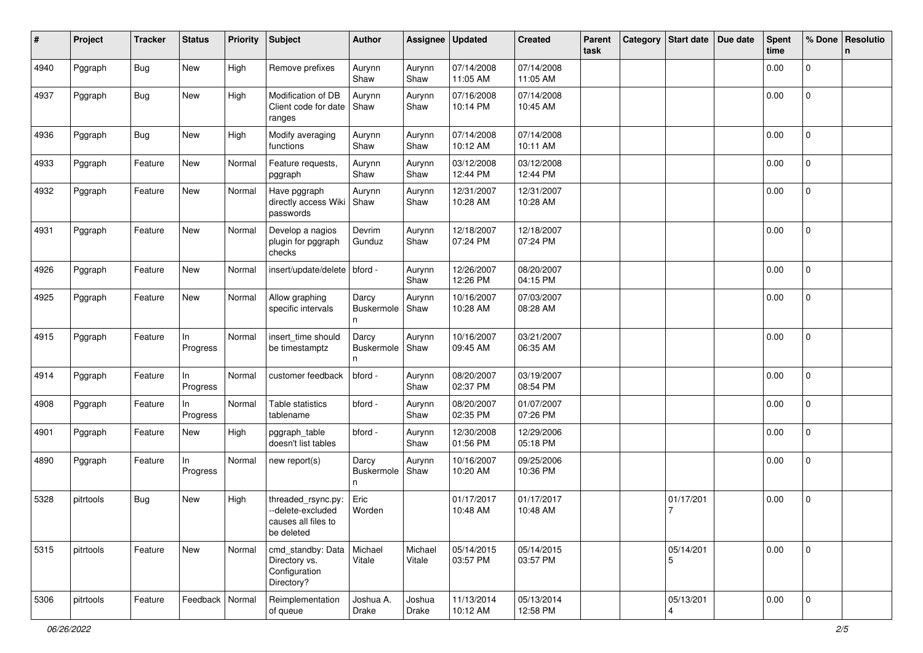| #    | Project   | <b>Tracker</b> | <b>Status</b>     | <b>Priority</b> | Subject                                                                      | <b>Author</b>                   | Assignee          | <b>Updated</b>         | <b>Created</b>         | Parent<br>task | Category | Start date Due date | Spent<br>time | % Done              | Resolutio<br>n |
|------|-----------|----------------|-------------------|-----------------|------------------------------------------------------------------------------|---------------------------------|-------------------|------------------------|------------------------|----------------|----------|---------------------|---------------|---------------------|----------------|
| 4940 | Pggraph   | <b>Bug</b>     | New               | High            | Remove prefixes                                                              | Aurynn<br>Shaw                  | Aurynn<br>Shaw    | 07/14/2008<br>11:05 AM | 07/14/2008<br>11:05 AM |                |          |                     | 0.00          | $\mathbf 0$         |                |
| 4937 | Pggraph   | <b>Bug</b>     | New               | High            | Modification of DB<br>Client code for date<br>ranges                         | Aurynn<br>Shaw                  | Aurynn<br>Shaw    | 07/16/2008<br>10:14 PM | 07/14/2008<br>10:45 AM |                |          |                     | 0.00          | $\mathbf 0$         |                |
| 4936 | Pggraph   | Bug            | New               | High            | Modify averaging<br>functions                                                | Aurynn<br>Shaw                  | Aurynn<br>Shaw    | 07/14/2008<br>10:12 AM | 07/14/2008<br>10:11 AM |                |          |                     | 0.00          | $\mathbf 0$         |                |
| 4933 | Pggraph   | Feature        | New               | Normal          | Feature requests,<br>pggraph                                                 | Aurynn<br>Shaw                  | Aurynn<br>Shaw    | 03/12/2008<br>12:44 PM | 03/12/2008<br>12:44 PM |                |          |                     | 0.00          | 0                   |                |
| 4932 | Pggraph   | Feature        | New               | Normal          | Have pggraph<br>directly access Wiki<br>passwords                            | Aurynn<br>Shaw                  | Aurynn<br>Shaw    | 12/31/2007<br>10:28 AM | 12/31/2007<br>10:28 AM |                |          |                     | 0.00          | 0                   |                |
| 4931 | Pggraph   | Feature        | New               | Normal          | Develop a nagios<br>plugin for pggraph<br>checks                             | Devrim<br>Gunduz                | Aurynn<br>Shaw    | 12/18/2007<br>07:24 PM | 12/18/2007<br>07:24 PM |                |          |                     | 0.00          | $\mathbf 0$         |                |
| 4926 | Pggraph   | Feature        | New               | Normal          | insert/update/delete   bford -                                               |                                 | Aurynn<br>Shaw    | 12/26/2007<br>12:26 PM | 08/20/2007<br>04:15 PM |                |          |                     | 0.00          | 0                   |                |
| 4925 | Pggraph   | Feature        | New               | Normal          | Allow graphing<br>specific intervals                                         | Darcy<br><b>Buskermole</b><br>n | Aurynn<br>Shaw    | 10/16/2007<br>10:28 AM | 07/03/2007<br>08:28 AM |                |          |                     | 0.00          | 0                   |                |
| 4915 | Pggraph   | Feature        | In.<br>Progress   | Normal          | insert_time should<br>be timestamptz                                         | Darcy<br>Buskermole<br>n        | Aurynn<br>Shaw    | 10/16/2007<br>09:45 AM | 03/21/2007<br>06:35 AM |                |          |                     | 0.00          | 0                   |                |
| 4914 | Pggraph   | Feature        | In.<br>Progress   | Normal          | customer feedback                                                            | bford -                         | Aurynn<br>Shaw    | 08/20/2007<br>02:37 PM | 03/19/2007<br>08:54 PM |                |          |                     | 0.00          | 0                   |                |
| 4908 | Pggraph   | Feature        | In<br>Progress    | Normal          | Table statistics<br>tablename                                                | bford -                         | Aurynn<br>Shaw    | 08/20/2007<br>02:35 PM | 01/07/2007<br>07:26 PM |                |          |                     | 0.00          | $\Omega$            |                |
| 4901 | Pggraph   | Feature        | New               | High            | pggraph_table<br>doesn't list tables                                         | bford -                         | Aurynn<br>Shaw    | 12/30/2008<br>01:56 PM | 12/29/2006<br>05:18 PM |                |          |                     | 0.00          | 0                   |                |
| 4890 | Pggraph   | Feature        | In.<br>Progress   | Normal          | new report(s)                                                                | Darcy<br>Buskermole<br>n        | Aurynn<br>Shaw    | 10/16/2007<br>10:20 AM | 09/25/2006<br>10:36 PM |                |          |                     | 0.00          | 0                   |                |
| 5328 | pitrtools | <b>Bug</b>     | New               | High            | threaded_rsync.py:<br>--delete-excluded<br>causes all files to<br>be deleted | Eric<br>Worden                  |                   | 01/17/2017<br>10:48 AM | 01/17/2017<br>10:48 AM |                |          | 01/17/201           | 0.00          | 0                   |                |
| 5315 | pitrtools | Feature        | New               | Normal          | cmd_standby: Data<br>Directory vs.<br>Configuration<br>Directory?            | Michael<br>Vitale               | Michael<br>Vitale | 05/14/2015<br>03:57 PM | 05/14/2015<br>03:57 PM |                |          | 05/14/201<br>5      | 0.00          | $\mathbf 0$         |                |
| 5306 | pitrtools | Feature        | Feedback   Normal |                 | Reimplementation<br>of queue                                                 | Joshua A.<br>Drake              | Joshua<br>Drake   | 11/13/2014<br>10:12 AM | 05/13/2014<br>12:58 PM |                |          | 05/13/201<br>4      | 0.00          | $\mathsf{O}\xspace$ |                |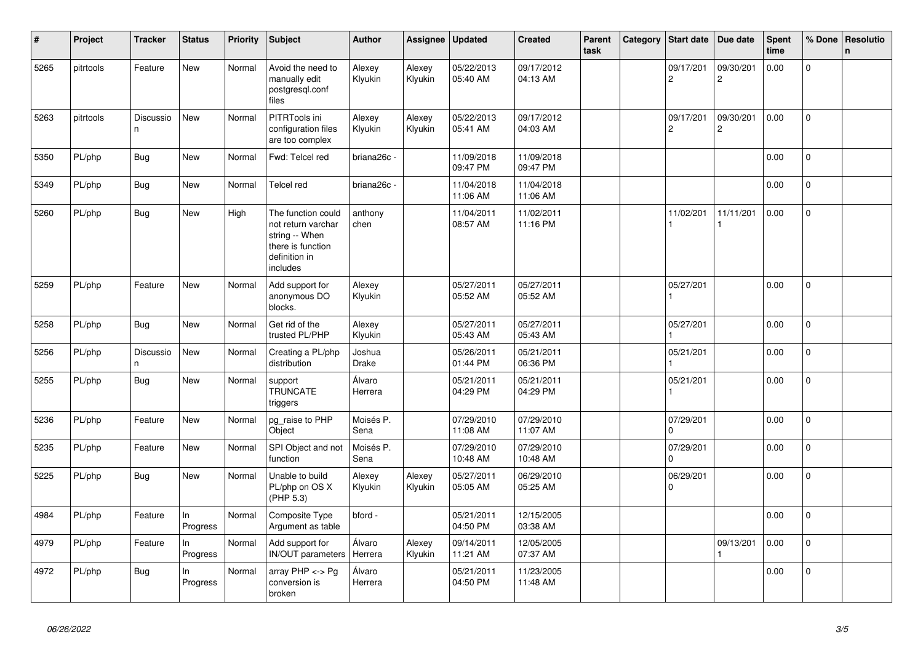| ∦    | Project   | <b>Tracker</b>  | <b>Status</b>  | <b>Priority</b> | <b>Subject</b>                                                                                               | <b>Author</b>          | Assignee          | <b>Updated</b>         | <b>Created</b>         | Parent<br>task | Category | <b>Start date</b>           | Due date                      | Spent<br>time | % Done         | Resolutio<br>$\mathbf n$ |
|------|-----------|-----------------|----------------|-----------------|--------------------------------------------------------------------------------------------------------------|------------------------|-------------------|------------------------|------------------------|----------------|----------|-----------------------------|-------------------------------|---------------|----------------|--------------------------|
| 5265 | pitrtools | Feature         | New            | Normal          | Avoid the need to<br>manually edit<br>postgresgl.conf<br>files                                               | Alexey<br>Klyukin      | Alexey<br>Klyukin | 05/22/2013<br>05:40 AM | 09/17/2012<br>04:13 AM |                |          | 09/17/201<br>$\overline{c}$ | 09/30/201<br>$\boldsymbol{2}$ | 0.00          | $\Omega$       |                          |
| 5263 | pitrtools | Discussio<br>n. | New            | Normal          | PITRTools ini<br>configuration files<br>are too complex                                                      | Alexey<br>Klyukin      | Alexey<br>Klyukin | 05/22/2013<br>05:41 AM | 09/17/2012<br>04:03 AM |                |          | 09/17/201<br>$\overline{c}$ | 09/30/201<br>2                | 0.00          | $\Omega$       |                          |
| 5350 | PL/php    | <b>Bug</b>      | <b>New</b>     | Normal          | Fwd: Telcel red                                                                                              | briana26c -            |                   | 11/09/2018<br>09:47 PM | 11/09/2018<br>09:47 PM |                |          |                             |                               | 0.00          | $\overline{0}$ |                          |
| 5349 | PL/php    | Bug             | <b>New</b>     | Normal          | Telcel red                                                                                                   | briana26c -            |                   | 11/04/2018<br>11:06 AM | 11/04/2018<br>11:06 AM |                |          |                             |                               | 0.00          | 0              |                          |
| 5260 | PL/php    | Bug             | New            | High            | The function could<br>not return varchar<br>string -- When<br>there is function<br>definition in<br>includes | anthony<br>chen        |                   | 11/04/2011<br>08:57 AM | 11/02/2011<br>11:16 PM |                |          | 11/02/201                   | 11/11/201                     | 0.00          | $\overline{0}$ |                          |
| 5259 | PL/php    | Feature         | New            | Normal          | Add support for<br>anonymous DO<br>blocks.                                                                   | Alexey<br>Klyukin      |                   | 05/27/2011<br>05:52 AM | 05/27/2011<br>05:52 AM |                |          | 05/27/201                   |                               | 0.00          | 0              |                          |
| 5258 | PL/php    | Bug             | <b>New</b>     | Normal          | Get rid of the<br>trusted PL/PHP                                                                             | Alexey<br>Klyukin      |                   | 05/27/2011<br>05:43 AM | 05/27/2011<br>05:43 AM |                |          | 05/27/201                   |                               | 0.00          | 0              |                          |
| 5256 | PL/php    | Discussio<br>n. | New            | Normal          | Creating a PL/php<br>distribution                                                                            | Joshua<br><b>Drake</b> |                   | 05/26/2011<br>01:44 PM | 05/21/2011<br>06:36 PM |                |          | 05/21/201                   |                               | 0.00          | 0              |                          |
| 5255 | PL/php    | Bug             | New            | Normal          | support<br><b>TRUNCATE</b><br>triggers                                                                       | Álvaro<br>Herrera      |                   | 05/21/2011<br>04:29 PM | 05/21/2011<br>04:29 PM |                |          | 05/21/201                   |                               | 0.00          | 0              |                          |
| 5236 | PL/php    | Feature         | <b>New</b>     | Normal          | pg_raise to PHP<br>Object                                                                                    | Moisés P.<br>Sena      |                   | 07/29/2010<br>11:08 AM | 07/29/2010<br>11:07 AM |                |          | 07/29/201<br>$\Omega$       |                               | 0.00          | $\overline{0}$ |                          |
| 5235 | PL/php    | Feature         | New            | Normal          | SPI Object and not<br>function                                                                               | Moisés P.<br>Sena      |                   | 07/29/2010<br>10:48 AM | 07/29/2010<br>10:48 AM |                |          | 07/29/201<br>$\Omega$       |                               | 0.00          | $\mathbf 0$    |                          |
| 5225 | PL/php    | Bug             | <b>New</b>     | Normal          | Unable to build<br>PL/php on OS X<br>(PHP 5.3)                                                               | Alexey<br>Klyukin      | Alexey<br>Klyukin | 05/27/2011<br>05:05 AM | 06/29/2010<br>05:25 AM |                |          | 06/29/201<br>0              |                               | 0.00          | $\overline{0}$ |                          |
| 4984 | PL/php    | Feature         | In<br>Progress | Normal          | Composite Type<br>Argument as table                                                                          | bford -                |                   | 05/21/2011<br>04:50 PM | 12/15/2005<br>03:38 AM |                |          |                             |                               | 0.00          | $\mathbf 0$    |                          |
| 4979 | PL/php    | Feature         | In<br>Progress | Normal          | Add support for<br>IN/OUT parameters                                                                         | Álvaro<br>Herrera      | Alexey<br>Klyukin | 09/14/2011<br>11:21 AM | 12/05/2005<br>07:37 AM |                |          |                             | 09/13/201                     | 0.00          | 0              |                          |
| 4972 | PL/php    | <b>Bug</b>      | In<br>Progress | Normal          | array PHP <-> Pg<br>conversion is<br>broken                                                                  | Álvaro<br>Herrera      |                   | 05/21/2011<br>04:50 PM | 11/23/2005<br>11:48 AM |                |          |                             |                               | 0.00          | $\Omega$       |                          |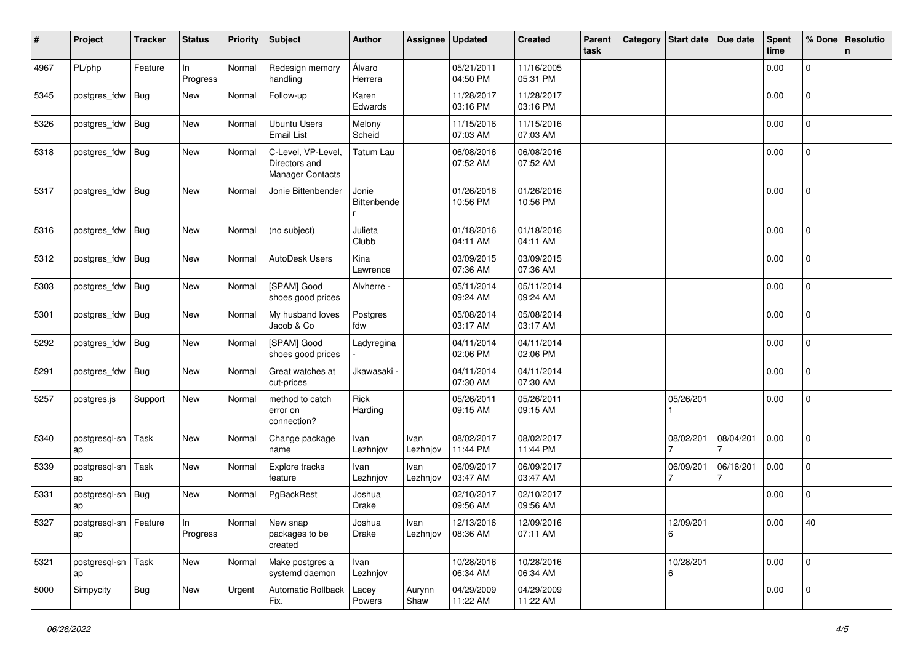| #    | Project                       | <b>Tracker</b> | <b>Status</b>  | <b>Priority</b> | <b>Subject</b>                                          | <b>Author</b>        | <b>Assignee</b>  | <b>Updated</b>         | <b>Created</b>         | Parent<br>task | Category | <b>Start date</b> | Due date  | <b>Spent</b><br>time | % Done         | Resolutio<br>n |
|------|-------------------------------|----------------|----------------|-----------------|---------------------------------------------------------|----------------------|------------------|------------------------|------------------------|----------------|----------|-------------------|-----------|----------------------|----------------|----------------|
| 4967 | PL/php                        | Feature        | In<br>Progress | Normal          | Redesign memory<br>handling                             | Álvaro<br>Herrera    |                  | 05/21/2011<br>04:50 PM | 11/16/2005<br>05:31 PM |                |          |                   |           | 0.00                 | 0              |                |
| 5345 | postgres_fdw                  | <b>Bug</b>     | New            | Normal          | Follow-up                                               | Karen<br>Edwards     |                  | 11/28/2017<br>03:16 PM | 11/28/2017<br>03:16 PM |                |          |                   |           | 0.00                 | 0              |                |
| 5326 | postgres_fdw                  | <b>Bug</b>     | New            | Normal          | <b>Ubuntu Users</b><br><b>Email List</b>                | Melony<br>Scheid     |                  | 11/15/2016<br>07:03 AM | 11/15/2016<br>07:03 AM |                |          |                   |           | 0.00                 | 0              |                |
| 5318 | postgres_fdw                  | <b>Bug</b>     | New            | Normal          | C-Level, VP-Level,<br>Directors and<br>Manager Contacts | Tatum Lau            |                  | 06/08/2016<br>07:52 AM | 06/08/2016<br>07:52 AM |                |          |                   |           | 0.00                 | 0              |                |
| 5317 | postgres_fdw                  | <b>Bug</b>     | New            | Normal          | Jonie Bittenbender                                      | Jonie<br>Bittenbende |                  | 01/26/2016<br>10:56 PM | 01/26/2016<br>10:56 PM |                |          |                   |           | 0.00                 | 0              |                |
| 5316 | postgres_fdw                  | <b>Bug</b>     | New            | Normal          | (no subject)                                            | Julieta<br>Clubb     |                  | 01/18/2016<br>04:11 AM | 01/18/2016<br>04:11 AM |                |          |                   |           | 0.00                 | 0              |                |
| 5312 | postgres_fdw                  | Bug            | New            | Normal          | AutoDesk Users                                          | Kina<br>Lawrence     |                  | 03/09/2015<br>07:36 AM | 03/09/2015<br>07:36 AM |                |          |                   |           | 0.00                 | 0              |                |
| 5303 | postgres_fdw                  | <b>Bug</b>     | New            | Normal          | [SPAM] Good<br>shoes good prices                        | Alvherre -           |                  | 05/11/2014<br>09:24 AM | 05/11/2014<br>09:24 AM |                |          |                   |           | 0.00                 | $\mathbf{0}$   |                |
| 5301 | postgres_fdw                  | <b>Bug</b>     | New            | Normal          | My husband loves<br>Jacob & Co                          | Postgres<br>fdw      |                  | 05/08/2014<br>03:17 AM | 05/08/2014<br>03:17 AM |                |          |                   |           | 0.00                 | $\overline{0}$ |                |
| 5292 | postgres_fdw                  | <b>Bug</b>     | New            | Normal          | [SPAM] Good<br>shoes good prices                        | Ladyregina           |                  | 04/11/2014<br>02:06 PM | 04/11/2014<br>02:06 PM |                |          |                   |           | 0.00                 | $\overline{0}$ |                |
| 5291 | postgres_fdw                  | <b>Bug</b>     | New            | Normal          | Great watches at<br>cut-prices                          | Jkawasaki -          |                  | 04/11/2014<br>07:30 AM | 04/11/2014<br>07:30 AM |                |          |                   |           | 0.00                 | 0              |                |
| 5257 | postgres.js                   | Support        | New            | Normal          | method to catch<br>error on<br>connection?              | Rick<br>Harding      |                  | 05/26/2011<br>09:15 AM | 05/26/2011<br>09:15 AM |                |          | 05/26/201         |           | 0.00                 | 0              |                |
| 5340 | postgresql-sn<br>ap           | Task           | New            | Normal          | Change package<br>name                                  | Ivan<br>Lezhnjov     | Ivan<br>Lezhnjov | 08/02/2017<br>11:44 PM | 08/02/2017<br>11:44 PM |                |          | 08/02/201         | 08/04/201 | 0.00                 | 0              |                |
| 5339 | postgresql-sn<br>ap           | Task           | New            | Normal          | Explore tracks<br>feature                               | Ivan<br>Lezhnjov     | Ivan<br>Lezhnjov | 06/09/2017<br>03:47 AM | 06/09/2017<br>03:47 AM |                |          | 06/09/201         | 06/16/201 | 0.00                 | 0              |                |
| 5331 | postgresql-sn<br>ap           | Bug            | New            | Normal          | PgBackRest                                              | Joshua<br>Drake      |                  | 02/10/2017<br>09:56 AM | 02/10/2017<br>09:56 AM |                |          |                   |           | 0.00                 | 0              |                |
| 5327 | postgresql-sn   Feature<br>ap |                | In<br>Progress |                 | Normal New snap<br>packages to be<br>created            | Joshua<br>Drake      | Ivan<br>Lezhnjov | 12/13/2016<br>08:36 AM | 12/09/2016<br>07:11 AM |                |          | 12/09/201<br>6    |           | 0.00                 | 40             |                |
| 5321 | postgresql-sn   Task<br>ap    |                | New            | Normal          | Make postgres a<br>systemd daemon                       | Ivan<br>Lezhnjov     |                  | 10/28/2016<br>06:34 AM | 10/28/2016<br>06:34 AM |                |          | 10/28/201<br>6    |           | 0.00                 | $\mathbf{0}$   |                |
| 5000 | Simpycity                     | <b>Bug</b>     | New            | Urgent          | Automatic Rollback<br>Fix.                              | Lacey<br>Powers      | Aurynn<br>Shaw   | 04/29/2009<br>11:22 AM | 04/29/2009<br>11:22 AM |                |          |                   |           | 0.00                 | $\Omega$       |                |